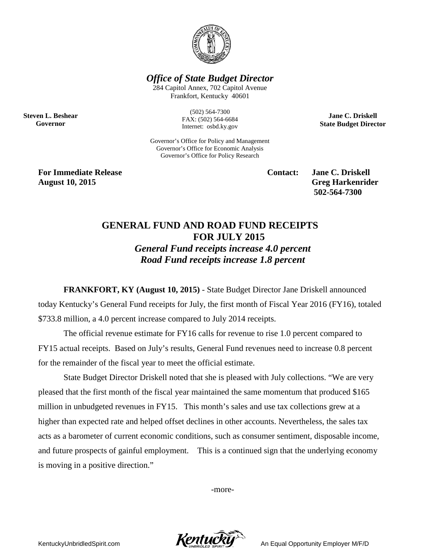

*Office of State Budget Director*

284 Capitol Annex, 702 Capitol Avenue Frankfort, Kentucky 40601

**Steven L. Beshear Governor**

(502) 564-7300 FAX: (502) 564-6684 Internet: osbd.ky.gov

Governor's Office for Policy and Management Governor's Office for Economic Analysis Governor's Office for Policy Research

**For Immediate Release Contact: Jane C. Driskell August 10, 2015 Greg Harkenrider**

**502-564-7300** 

**Jane C. Driskell State Budget Director**

## **GENERAL FUND AND ROAD FUND RECEIPTS FOR JULY 2015**

*General Fund receipts increase 4.0 percent Road Fund receipts increase 1.8 percent*

**FRANKFORT, KY (August 10, 2015)** - State Budget Director Jane Driskell announced today Kentucky's General Fund receipts for July, the first month of Fiscal Year 2016 (FY16), totaled \$733.8 million, a 4.0 percent increase compared to July 2014 receipts.

The official revenue estimate for FY16 calls for revenue to rise 1.0 percent compared to FY15 actual receipts. Based on July's results, General Fund revenues need to increase 0.8 percent for the remainder of the fiscal year to meet the official estimate.

State Budget Director Driskell noted that she is pleased with July collections. "We are very pleased that the first month of the fiscal year maintained the same momentum that produced \$165 million in unbudgeted revenues in FY15. This month's sales and use tax collections grew at a higher than expected rate and helped offset declines in other accounts. Nevertheless, the sales tax acts as a barometer of current economic conditions, such as consumer sentiment, disposable income, and future prospects of gainful employment. This is a continued sign that the underlying economy is moving in a positive direction."

-more-

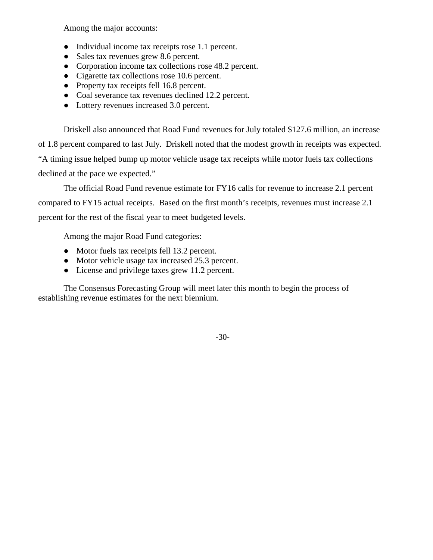Among the major accounts:

- Individual income tax receipts rose 1.1 percent.
- Sales tax revenues grew 8.6 percent.
- Corporation income tax collections rose 48.2 percent.
- Cigarette tax collections rose 10.6 percent.
- Property tax receipts fell 16.8 percent.
- Coal severance tax revenues declined 12.2 percent.
- Lottery revenues increased 3.0 percent.

Driskell also announced that Road Fund revenues for July totaled \$127.6 million, an increase of 1.8 percent compared to last July. Driskell noted that the modest growth in receipts was expected. "A timing issue helped bump up motor vehicle usage tax receipts while motor fuels tax collections declined at the pace we expected."

The official Road Fund revenue estimate for FY16 calls for revenue to increase 2.1 percent compared to FY15 actual receipts. Based on the first month's receipts, revenues must increase 2.1 percent for the rest of the fiscal year to meet budgeted levels.

Among the major Road Fund categories:

- Motor fuels tax receipts fell 13.2 percent.
- Motor vehicle usage tax increased 25.3 percent.
- License and privilege taxes grew 11.2 percent.

The Consensus Forecasting Group will meet later this month to begin the process of establishing revenue estimates for the next biennium.

-30-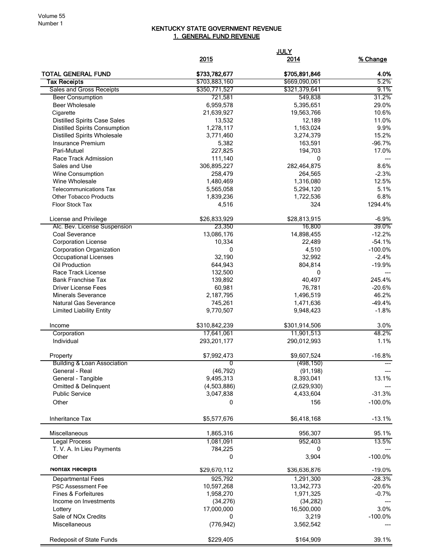## KENTUCKY STATE GOVERNMENT REVENUE 1. GENERAL FUND REVENUE

|                                                         |                        | <b>JULY</b>          |               |
|---------------------------------------------------------|------------------------|----------------------|---------------|
|                                                         | 2015                   | <u>2014</u>          | % Change      |
| <b>TOTAL GENERAL FUND</b>                               | \$733,782,677          | \$705,891,846        | 4.0%          |
| Tax Receipts                                            | \$703,883,160          | \$669,090,061        | 5.2%          |
| Sales and Gross Receipts                                | \$350,771,527          | \$321,379,641        | 9.1%          |
| <b>Beer Consumption</b>                                 | 721,581                | 549,838              | 31.2%         |
| <b>Beer Wholesale</b>                                   | 6,959,578              | 5,395,651            | 29.0%         |
| Cigarette                                               | 21,639,927             | 19,563,766           | 10.6%         |
| <b>Distilled Spirits Case Sales</b>                     | 13,532                 | 12,189               | 11.0%         |
| <b>Distilled Spirits Consumption</b>                    | 1,278,117<br>3,771,460 | 1,163,024            | 9.9%<br>15.2% |
| <b>Distilled Spirits Wholesale</b><br>Insurance Premium | 5,382                  | 3,274,379<br>163,591 | $-96.7%$      |
| Pari-Mutuel                                             | 227,825                | 194,703              | 17.0%         |
| Race Track Admission                                    | 111,140                | 0                    |               |
| Sales and Use                                           | 306,895,227            | 282,464,875          | 8.6%          |
| Wine Consumption                                        | 258,479                | 264,565              | $-2.3%$       |
| Wine Wholesale                                          | 1,480,469              | 1,316,080            | 12.5%         |
| <b>Telecommunications Tax</b>                           | 5,565,058              | 5,294,120            | 5.1%          |
| <b>Other Tobacco Products</b>                           | 1,839,236              | 1,722,536            | 6.8%          |
| Floor Stock Tax                                         | 4,516                  | 324                  | 1294.4%       |
| License and Privilege                                   | \$26,833,929           | \$28,813,915         | $-6.9%$       |
| Alc. Bev. License Suspension                            | 23,350                 | 16,800               | 39.0%         |
| Coal Severance                                          | 13,086,176             | 14,898,455           | $-12.2%$      |
| <b>Corporation License</b>                              | 10,334                 | 22,489               | $-54.1%$      |
| Corporation Organization                                | 0                      | 4,510                | $-100.0%$     |
| <b>Occupational Licenses</b>                            | 32,190                 | 32,992               | $-2.4%$       |
| Oil Production                                          | 644,943                | 804,814              | $-19.9%$      |
| Race Track License                                      | 132,500                | 0                    |               |
| <b>Bank Franchise Tax</b>                               | 139,892                | 40,497               | 245.4%        |
| <b>Driver License Fees</b>                              | 60,981                 | 76,781               | $-20.6%$      |
| <b>Minerals Severance</b>                               | 2,187,795              | 1,496,519            | 46.2%         |
| <b>Natural Gas Severance</b>                            | 745,261                | 1,471,636            | $-49.4%$      |
| <b>Limited Liability Entity</b>                         | 9,770,507              | 9,948,423            | $-1.8%$       |
| Income                                                  | \$310,842,239          | \$301,914,506        | 3.0%          |
| Corporation                                             | 17,641,061             | 11,901,513           | 48.2%         |
| Individual                                              | 293,201,177            | 290,012,993          | 1.1%          |
| Property                                                | \$7,992,473            | \$9,607,524          | $-16.8%$      |
| <b>Building &amp; Loan Association</b>                  |                        | (498, 150)           |               |
| General - Real                                          | (46, 792)              | (91, 198)            |               |
| General - Tangible                                      | 9,495,313              | 8,393,041            | 13.1%         |
| Omitted & Delinquent                                    | (4,503,886)            | (2,629,930)          |               |
| <b>Public Service</b>                                   | 3,047,838              | 4,433,604            | $-31.3%$      |
| Other                                                   | 0                      | 156                  | $-100.0\%$    |
| Inheritance Tax                                         | \$5,577,676            | \$6,418,168          | $-13.1%$      |
| Miscellaneous                                           | 1,865,316              | 956,307              | 95.1%         |
| <b>Legal Process</b>                                    | 1,081,091              | 952,403              | 13.5%         |
| T. V. A. In Lieu Payments                               | 784,225                | 0                    |               |
| Other                                                   | 0                      | 3,904                | $-100.0%$     |
| Nontax Receipts                                         | \$29,670,112           | \$36,636,876         | $-19.0%$      |
| <b>Departmental Fees</b>                                | 925,792                | 1,291,300            | $-28.3%$      |
| PSC Assessment Fee                                      | 10,597,268             | 13,342,773           | $-20.6%$      |
| <b>Fines &amp; Forfeitures</b>                          | 1,958,270              | 1,971,325            | $-0.7%$       |
| Income on Investments                                   | (34, 276)              | (34, 282)            |               |
| Lottery                                                 | 17,000,000             | 16,500,000           | 3.0%          |
| Sale of NO <sub>x</sub> Credits                         | 0                      | 3,219                | $-100.0%$     |
| Miscellaneous                                           | (776, 942)             | 3,562,542            |               |
| Redeposit of State Funds                                | \$229,405              | \$164,909            | 39.1%         |